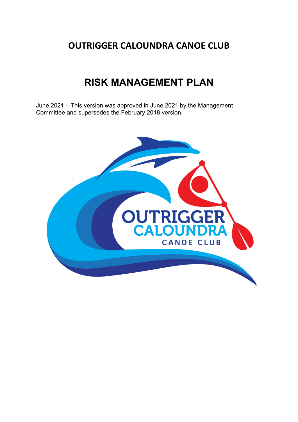# **OUTRIGGER CALOUNDRA CANOE CLUB**

# **RISK MANAGEMENT PLAN**

June 2021 – This version was approved in June 2021 by the Management Committee and supersedes the February 2018 version.

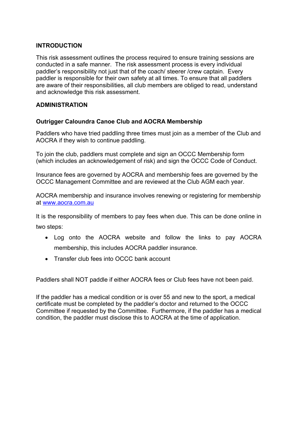## **INTRODUCTION**

This risk assessment outlines the process required to ensure training sessions are conducted in a safe manner. The risk assessment process is every individual paddler's responsibility not just that of the coach/ steerer /crew captain. Every paddler is responsible for their own safety at all times. To ensure that all paddlers are aware of their responsibilities, all club members are obliged to read, understand and acknowledge this risk assessment.

## **ADMINISTRATION**

## **Outrigger Caloundra Canoe Club and AOCRA Membership**

Paddlers who have tried paddling three times must join as a member of the Club and AOCRA if they wish to continue paddling.

To join the club, paddlers must complete and sign an OCCC Membership form (which includes an acknowledgement of risk) and sign the OCCC Code of Conduct.

Insurance fees are governed by AOCRA and membership fees are governed by the OCCC Management Committee and are reviewed at the Club AGM each year.

AOCRA membership and insurance involves renewing or registering for membership at [www.aocra.com.au](http://www.aocra.com.au/)

It is the responsibility of members to pay fees when due. This can be done online in two steps:

- Log onto the AOCRA website and follow the links to pay AOCRA membership, this includes AOCRA paddler insurance.
- Transfer club fees into OCCC bank account

Paddlers shall NOT paddle if either AOCRA fees or Club fees have not been paid.

If the paddler has a medical condition or is over 55 and new to the sport, a medical certificate must be completed by the paddler's doctor and returned to the OCCC Committee if requested by the Committee. Furthermore, if the paddler has a medical condition, the paddler must disclose this to AOCRA at the time of application.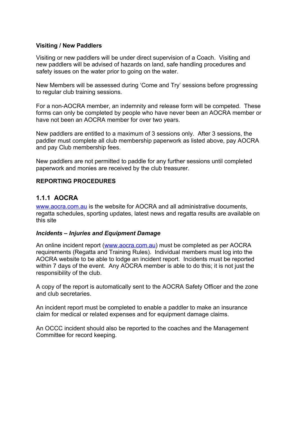## **Visiting / New Paddlers**

Visiting or new paddlers will be under direct supervision of a Coach. Visiting and new paddlers will be advised of hazards on land, safe handling procedures and safety issues on the water prior to going on the water.

New Members will be assessed during 'Come and Try' sessions before progressing to regular club training sessions.

For a non-AOCRA member, an indemnity and release form will be competed. These forms can only be completed by people who have never been an AOCRA member or have not been an AOCRA member for over two years.

New paddlers are entitled to a maximum of 3 sessions only. After 3 sessions, the paddler must complete all club membership paperwork as listed above, pay AOCRA and pay Club membership fees.

New paddlers are not permitted to paddle for any further sessions until completed paperwork and monies are received by the club treasurer.

## **REPORTING PROCEDURES**

## **1.1.1 AOCRA**

[www.aocra.com.au](http://www.aocra.com.au/) is the website for AOCRA and all administrative documents, regatta schedules, sporting updates, latest news and regatta results are available on this site

#### *Incidents – Injuries and Equipment Damage*

An online incident report ([www.aocra.com.au\)](http://www.aocra.com.au/) must be completed as per AOCRA requirements (Regatta and Training Rules). Individual members must log into the AOCRA website to be able to lodge an incident report. Incidents must be reported within 7 days of the event. Any AOCRA member is able to do this; it is not just the responsibility of the club.

A copy of the report is automatically sent to the AOCRA Safety Officer and the zone and club secretaries.

An incident report must be completed to enable a paddler to make an insurance claim for medical or related expenses and for equipment damage claims.

An OCCC incident should also be reported to the coaches and the Management Committee for record keeping.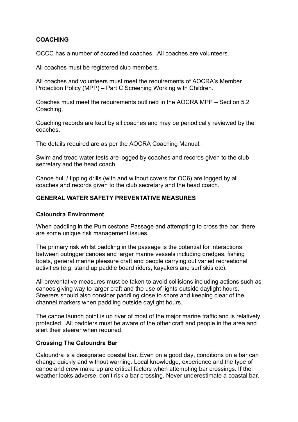## **COACHING**

OCCC has a number of accredited coaches. All coaches are volunteers.

All coaches must be registered club members.

All coaches and volunteers must meet the requirements of AOCRA's Member Protection Policy (MPP) – Part C Screening Working with Children.

Coaches must meet the requirements outlined in the AOCRA MPP – Section 5.2 Coaching.

Coaching records are kept by all coaches and may be periodically reviewed by the coaches.

The details required are as per the AOCRA Coaching Manual.

Swim and tread water tests are logged by coaches and records given to the club secretary and the head coach.

Canoe huli / tipping drills (with and without covers for OC6) are logged by all coaches and records given to the club secretary and the head coach.

## **GENERAL WATER SAFETY PREVENTATIVE MEASURES**

#### **Caloundra Environment**

When paddling in the Pumicestone Passage and attempting to cross the bar, there are some unique risk management issues.

The primary risk whilst paddling in the passage is the potential for interactions between outrigger canoes and larger marine vessels including dredges, fishing boats, general marine pleasure craft and people carrying out varied recreational activities (e.g. stand up paddle board riders, kayakers and surf skis etc).

All preventative measures must be taken to avoid collisions including actions such as canoes giving way to larger craft and the use of lights outside daylight hours. Steerers should also consider paddling close to shore and keeping clear of the channel markers when paddling outside daylight hours.

The canoe launch point is up river of most of the major marine traffic and is relatively protected. All paddlers must be aware of the other craft and people in the area and alert their steerer when required.

#### **Crossing The Caloundra Bar**

Caloundra is a designated coastal bar. Even on a good day, conditions on a bar can change quickly and without warning. Local knowledge, experience and the type of canoe and crew make up are critical factors when attempting bar crossings. If the weather looks adverse, don't risk a bar crossing. Never underestimate a coastal bar.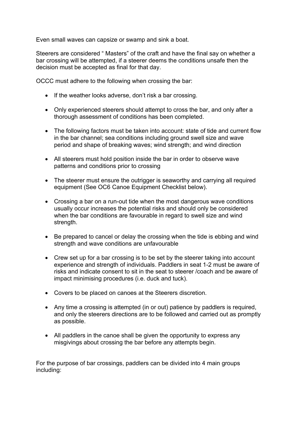Even small waves can capsize or swamp and sink a boat.

Steerers are considered " Masters" of the craft and have the final say on whether a bar crossing will be attempted, if a steerer deems the conditions unsafe then the decision must be accepted as final for that day.

OCCC must adhere to the following when crossing the bar:

- If the weather looks adverse, don't risk a bar crossing.
- Only experienced steerers should attempt to cross the bar, and only after a thorough assessment of conditions has been completed.
- The following factors must be taken into account: state of tide and current flow in the bar channel; sea conditions including ground swell size and wave period and shape of breaking waves; wind strength; and wind direction
- All steerers must hold position inside the bar in order to observe wave patterns and conditions prior to crossing
- The steerer must ensure the outrigger is seaworthy and carrying all required equipment (See OC6 Canoe Equipment Checklist below).
- Crossing a bar on a run-out tide when the most dangerous wave conditions usually occur increases the potential risks and should only be considered when the bar conditions are favourable in regard to swell size and wind strength.
- Be prepared to cancel or delay the crossing when the tide is ebbing and wind strength and wave conditions are unfavourable
- Crew set up for a bar crossing is to be set by the steerer taking into account experience and strength of individuals. Paddlers in seat 1-2 must be aware of risks and indicate consent to sit in the seat to steerer /coach and be aware of impact minimising procedures (i.e. duck and tuck).
- Covers to be placed on canoes at the Steerers discretion.
- Any time a crossing is attempted (in or out) patience by paddlers is required, and only the steerers directions are to be followed and carried out as promptly as possible.
- All paddlers in the canoe shall be given the opportunity to express any misgivings about crossing the bar before any attempts begin.

For the purpose of bar crossings, paddlers can be divided into 4 main groups including: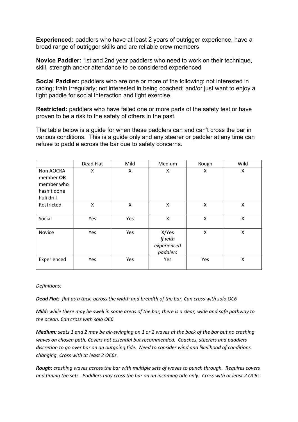**Experienced:** paddlers who have at least 2 years of outrigger experience, have a broad range of outrigger skills and are reliable crew members

**Novice Paddler:** 1st and 2nd year paddlers who need to work on their technique, skill, strength and/or attendance to be considered experienced

**Social Paddler:** paddlers who are one or more of the following: not interested in racing; train irregularly; not interested in being coached; and/or just want to enjoy a light paddle for social interaction and light exercise.

**Restricted:** paddlers who have failed one or more parts of the safety test or have proven to be a risk to the safety of others in the past.

The table below is a guide for when these paddlers can and can't cross the bar in various conditions. This is a guide only and any steerer or paddler at any time can refuse to paddle across the bar due to safety concerns.

|                           | Dead Flat | Mild | Medium      | Rough | Wild |
|---------------------------|-----------|------|-------------|-------|------|
| Non AOCRA                 | X         | Χ    | Χ           | X     | Χ    |
| member OR                 |           |      |             |       |      |
| member who                |           |      |             |       |      |
| hasn't done<br>huli drill |           |      |             |       |      |
| Restricted                | X         | X    | X           | X     | X    |
| Social                    | Yes       | Yes  | X           | Χ     | X    |
| Novice                    | Yes       | Yes  | X/Yes       | Χ     | Χ    |
|                           |           |      | If with     |       |      |
|                           |           |      | experienced |       |      |
|                           |           |      | paddlers    |       |      |
| Experienced               | Yes       | Yes  | Yes         | Yes   | X    |

#### *Definitions:*

*Dead Flat: flat as a tack, across the width and breadth of the bar. Can cross with solo OC6*

*Mild: while there may be swell in some areas of the bar, there is a clear, wide and safe pathway to the ocean. Can cross with solo OC6*

*Medium: seats 1 and 2 may be air-swinging on 1 or 2 waves at the back of the bar but no crashing waves on chosen path. Covers not essential but recommended. Coaches, steerers and paddlers discretion to go over bar on an outgoing tide. Need to consider wind and likelihood of conditions changing. Cross with at least 2 OC6s.*

*Rough: crashing waves across the bar with multiple sets of waves to punch through. Requires covers and timing the sets. Paddlers may cross the bar on an incoming tide only. Cross with at least 2 OC6s.*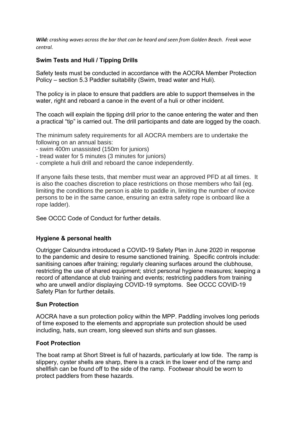*Wild: crashing waves across the bar that can be heard and seen from Golden Beach. Freak wave central.* 

## **Swim Tests and Huli / Tipping Drills**

Safety tests must be conducted in accordance with the AOCRA Member Protection Policy – section 5.3 Paddler suitability (Swim, tread water and Huli).

The policy is in place to ensure that paddlers are able to support themselves in the water, right and reboard a canoe in the event of a huli or other incident.

The coach will explain the tipping drill prior to the canoe entering the water and then a practical "tip" is carried out. The drill participants and date are logged by the coach.

The minimum safety requirements for all AOCRA members are to undertake the following on an annual basis:

- swim 400m unassisted (150m for juniors)
- tread water for 5 minutes (3 minutes for juniors)
- complete a huli drill and reboard the canoe independently.

If anyone fails these tests, that member must wear an approved PFD at all times. It is also the coaches discretion to place restrictions on those members who fail (eg. limiting the conditions the person is able to paddle in, limiting the number of novice persons to be in the same canoe, ensuring an extra safety rope is onboard like a rope ladder).

See OCCC Code of Conduct for further details.

#### **Hygiene & personal health**

Outrigger Caloundra introduced a COVID-19 Safety Plan in June 2020 in response to the pandemic and desire to resume sanctioned training. Specific controls include: sanitising canoes after training; regularly cleaning surfaces around the clubhouse, restricting the use of shared equipment; strict personal hygiene measures; keeping a record of attendance at club training and events; restricting paddlers from training who are unwell and/or displaying COVID-19 symptoms. See OCCC COVID-19 Safety Plan for further details.

#### **Sun Protection**

AOCRA have a sun protection policy within the MPP. Paddling involves long periods of time exposed to the elements and appropriate sun protection should be used including, hats, sun cream, long sleeved sun shirts and sun glasses.

#### **Foot Protection**

The boat ramp at Short Street is full of hazards, particularly at low tide. The ramp is slippery, oyster shells are sharp, there is a crack in the lower end of the ramp and shellfish can be found off to the side of the ramp. Footwear should be worn to protect paddlers from these hazards.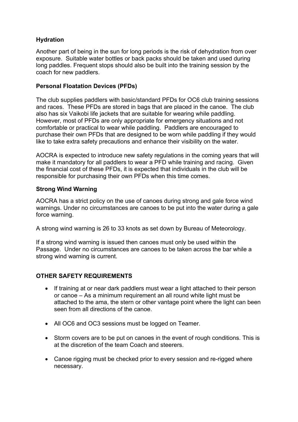## **Hydration**

Another part of being in the sun for long periods is the risk of dehydration from over exposure. Suitable water bottles or back packs should be taken and used during long paddles. Frequent stops should also be built into the training session by the coach for new paddlers.

## **Personal Floatation Devices (PFDs)**

The club supplies paddlers with basic/standard PFDs for OC6 club training sessions and races. These PFDs are stored in bags that are placed in the canoe. The club also has six Vaikobi life jackets that are suitable for wearing while paddling. However, most of PFDs are only appropriate for emergency situations and not comfortable or practical to wear while paddling. Paddlers are encouraged to purchase their own PFDs that are designed to be worn while paddling if they would like to take extra safety precautions and enhance their visibility on the water.

AOCRA is expected to introduce new safety regulations in the coming years that will make it mandatory for all paddlers to wear a PFD while training and racing. Given the financial cost of these PFDs, it is expected that individuals in the club will be responsible for purchasing their own PFDs when this time comes.

## **Strong Wind Warning**

AOCRA has a strict policy on the use of canoes during strong and gale force wind warnings. Under no circumstances are canoes to be put into the water during a gale force warning.

A strong wind warning is 26 to 33 knots as set down by Bureau of Meteorology.

If a strong wind warning is issued then canoes must only be used within the Passage. Under no circumstances are canoes to be taken across the bar while a strong wind warning is current.

## **OTHER SAFETY REQUIREMENTS**

- If training at or near dark paddlers must wear a light attached to their person or canoe – As a minimum requirement an all round white light must be attached to the ama, the stern or other vantage point where the light can been seen from all directions of the canoe.
- All OC6 and OC3 sessions must be logged on Teamer.
- Storm covers are to be put on canoes in the event of rough conditions. This is at the discretion of the team Coach and steerers.
- Canoe rigging must be checked prior to every session and re-rigged where necessary.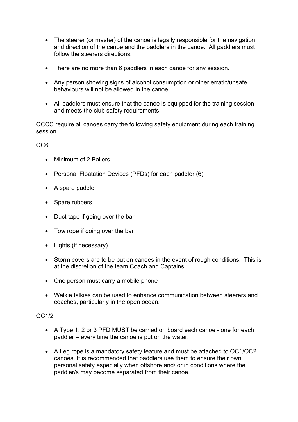- The steerer (or master) of the canoe is legally responsible for the navigation and direction of the canoe and the paddlers in the canoe. All paddlers must follow the steerers directions.
- There are no more than 6 paddlers in each canoe for any session.
- Any person showing signs of alcohol consumption or other erratic/unsafe behaviours will not be allowed in the canoe.
- All paddlers must ensure that the canoe is equipped for the training session and meets the club safety requirements.

OCCC require all canoes carry the following safety equipment during each training session.

OC6

- Minimum of 2 Bailers
- Personal Floatation Devices (PFDs) for each paddler (6)
- A spare paddle
- Spare rubbers
- Duct tape if going over the bar
- Tow rope if going over the bar
- Lights (if necessary)
- Storm covers are to be put on canoes in the event of rough conditions. This is at the discretion of the team Coach and Captains.
- One person must carry a mobile phone
- Walkie talkies can be used to enhance communication between steerers and coaches, particularly in the open ocean.

#### OC1/2

- A Type 1, 2 or 3 PFD MUST be carried on board each canoe one for each paddler – every time the canoe is put on the water.
- A Leg rope is a mandatory safety feature and must be attached to OC1/OC2 canoes. It is recommended that paddlers use them to ensure their own personal safety especially when offshore and/ or in conditions where the paddler/s may become separated from their canoe.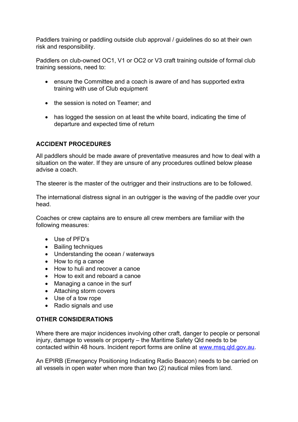Paddlers training or paddling outside club approval / guidelines do so at their own risk and responsibility.

Paddlers on club-owned OC1, V1 or OC2 or V3 craft training outside of formal club training sessions, need to:

- ensure the Committee and a coach is aware of and has supported extra training with use of Club equipment
- the session is noted on Teamer; and
- has logged the session on at least the white board, indicating the time of departure and expected time of return

## **ACCIDENT PROCEDURES**

All paddlers should be made aware of preventative measures and how to deal with a situation on the water. If they are unsure of any procedures outlined below please advise a coach.

The steerer is the master of the outrigger and their instructions are to be followed.

The international distress signal in an outrigger is the waving of the paddle over your head.

Coaches or crew captains are to ensure all crew members are familiar with the following measures:

- Use of PFD's
- Bailing techniques
- Understanding the ocean / waterways
- How to rig a canoe
- How to huli and recover a canoe
- How to exit and reboard a canoe
- Managing a canoe in the surf
- Attaching storm covers
- Use of a tow rope
- Radio signals and use

#### **OTHER CONSIDERATIONS**

Where there are major incidences involving other craft, danger to people or personal injury, damage to vessels or property – the Maritime Safety Qld needs to be contacted within 48 hours. Incident report forms are online at [www.msq.qld.gov.au](http://www.msq.qld.gov.au/).

An EPIRB (Emergency Positioning Indicating Radio Beacon) needs to be carried on all vessels in open water when more than two (2) nautical miles from land.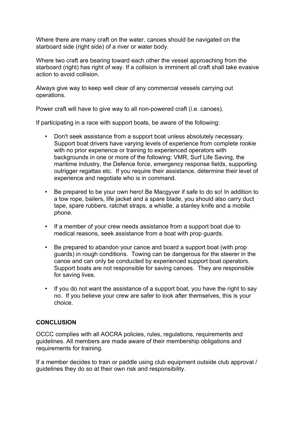Where there are many craft on the water, canoes should be navigated on the starboard side (right side) of a river or water body.

Where two craft are bearing toward each other the vessel approaching from the starboard (right) has right of way. If a collision is imminent all craft shall take evasive action to avoid collision.

Always give way to keep well clear of any commercial vessels carrying out operations.

Power craft will have to give way to all non-powered craft (i.e. canoes).

If participating in a race with support boats, be aware of the following:

- Don't seek assistance from a support boat unless absolutely necessary. Support boat drivers have varying levels of experience from complete rookie with no prior experience or training to experienced operators with backgrounds in one or more of the following: VMR, Surf Life Saving, the maritime industry, the Defence force, emergency response fields, supporting outrigger regattas etc. If you require their assistance, determine their level of experience and negotiate who is in command.
- Be prepared to be your own hero! Be Macgyver if safe to do so! In addition to a tow rope, bailers, life jacket and a spare blade, you should also carry duct tape, spare rubbers, ratchet straps, a whistle, a stanley knife and a mobile phone.
- If a member of your crew needs assistance from a support boat due to medical reasons, seek assistance from a boat with prop guards.
- Be prepared to abandon your canoe and board a support boat (with prop guards) in rough conditions. Towing can be dangerous for the steerer in the canoe and can only be conducted by experienced support boat operators. Support boats are not responsible for saving canoes. They are responsible for saving lives.
- If you do not want the assistance of a support boat, you have the right to say no. If you believe your crew are safer to look after themselves, this is your choice.

#### **CONCLUSION**

OCCC complies with all AOCRA policies, rules, regulations, requirements and guidelines. All members are made aware of their membership obligations and requirements for training.

If a member decides to train or paddle using club equipment outside club approval / guidelines they do so at their own risk and responsibility.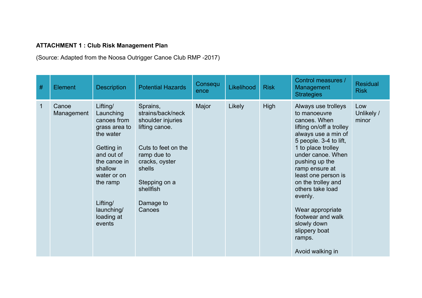## **ATTACHMENT 1 : Club Risk Management Plan**

(Source: Adapted from the Noosa Outrigger Canoe Club RMP -2017)

| $\#$        | <b>Element</b>      | <b>Description</b>                                                                                                                                                                                     | <b>Potential Hazards</b>                                                                                                                                                                    | Consequ<br>ence | Likelihood | <b>Risk</b> | Control measures /<br>Management<br><b>Strategies</b>                                                                                                                                                                                                                                                                                                                                              | <b>Residual</b><br><b>Risk</b> |
|-------------|---------------------|--------------------------------------------------------------------------------------------------------------------------------------------------------------------------------------------------------|---------------------------------------------------------------------------------------------------------------------------------------------------------------------------------------------|-----------------|------------|-------------|----------------------------------------------------------------------------------------------------------------------------------------------------------------------------------------------------------------------------------------------------------------------------------------------------------------------------------------------------------------------------------------------------|--------------------------------|
| $\mathbf 1$ | Canoe<br>Management | Lifting/<br>Launching<br>canoes from<br>grass area to<br>the water<br>Getting in<br>and out of<br>the canoe in<br>shallow<br>water or on<br>the ramp<br>Lifting/<br>launching/<br>loading at<br>events | Sprains,<br>strains/back/neck<br>shoulder injuries<br>lifting canoe.<br>Cuts to feet on the<br>ramp due to<br>cracks, oyster<br>shells<br>Stepping on a<br>shellfish<br>Damage to<br>Canoes | Major           | Likely     | <b>High</b> | Always use trolleys<br>to manoeuvre<br>canoes. When<br>lifting on/off a trolley<br>always use a min of<br>5 people. 3-4 to lift,<br>1 to place trolley<br>under canoe. When<br>pushing up the<br>ramp ensure at<br>least one person is<br>on the trolley and<br>others take load<br>evenly.<br>Wear appropriate<br>footwear and walk<br>slowly down<br>slippery boat<br>ramps.<br>Avoid walking in | Low<br>Unlikely /<br>minor     |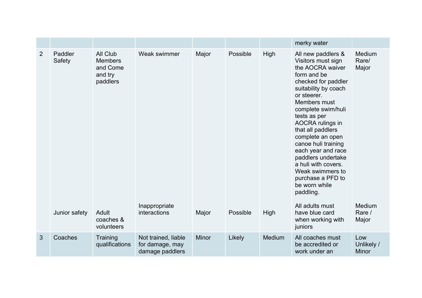|   |                   |                                                               |                                                           |              |          |        | merky water                                                                                                                                                                                                                                                                                                                                                                                                                   |                                   |
|---|-------------------|---------------------------------------------------------------|-----------------------------------------------------------|--------------|----------|--------|-------------------------------------------------------------------------------------------------------------------------------------------------------------------------------------------------------------------------------------------------------------------------------------------------------------------------------------------------------------------------------------------------------------------------------|-----------------------------------|
| 2 | Paddler<br>Safety | All Club<br><b>Members</b><br>and Come<br>and try<br>paddlers | Weak swimmer                                              | Major        | Possible | High   | All new paddlers &<br>Visitors must sign<br>the AOCRA waiver<br>form and be<br>checked for paddler<br>suitability by coach<br>or steerer.<br>Members must<br>complete swim/huli<br>tests as per<br>AOCRA rulings in<br>that all paddlers<br>complete an open<br>canoe huli training<br>each year and race<br>paddlers undertake<br>a huli with covers.<br>Weak swimmers to<br>purchase a PFD to<br>be worn while<br>paddling. | Medium<br>Rare/<br>Major          |
|   | Junior safety     | Adult<br>coaches &<br>volunteers                              | Inappropriate<br>interactions                             | Major        | Possible | High   | All adults must<br>have blue card<br>when working with<br>juniors                                                                                                                                                                                                                                                                                                                                                             | Medium<br>Rare /<br>Major         |
| 3 | Coaches           | Training<br>qualifications                                    | Not trained, liable<br>for damage, may<br>damage paddlers | <b>Minor</b> | Likely   | Medium | All coaches must<br>be accredited or<br>work under an                                                                                                                                                                                                                                                                                                                                                                         | Low<br>Unlikely /<br><b>Minor</b> |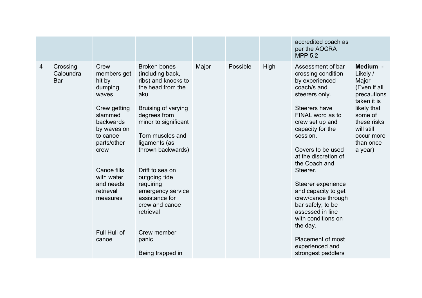|   |                              |                                                                                                                                                                                                                                         |                                                                                                                                                                                                                                                                                                                                                                                        |       |          |      | accredited coach as<br>per the AOCRA<br><b>MPP 5.2</b>                                                                                                                                                                                                                                                                                                                                                                                                                          |                                                                                                                                                                          |
|---|------------------------------|-----------------------------------------------------------------------------------------------------------------------------------------------------------------------------------------------------------------------------------------|----------------------------------------------------------------------------------------------------------------------------------------------------------------------------------------------------------------------------------------------------------------------------------------------------------------------------------------------------------------------------------------|-------|----------|------|---------------------------------------------------------------------------------------------------------------------------------------------------------------------------------------------------------------------------------------------------------------------------------------------------------------------------------------------------------------------------------------------------------------------------------------------------------------------------------|--------------------------------------------------------------------------------------------------------------------------------------------------------------------------|
| 4 | Crossing<br>Caloundra<br>Bar | Crew<br>members get<br>hit by<br>dumping<br>waves<br>Crew getting<br>slammed<br>backwards<br>by waves on<br>to canoe<br>parts/other<br>crew<br>Canoe fills<br>with water<br>and needs<br>retrieval<br>measures<br>Full Huli of<br>canoe | <b>Broken bones</b><br>(including back,<br>ribs) and knocks to<br>the head from the<br>aku<br>Bruising of varying<br>degrees from<br>minor to significant<br>Torn muscles and<br>ligaments (as<br>thrown backwards)<br>Drift to sea on<br>outgoing tide<br>requiring<br>emergency service<br>assistance for<br>crew and canoe<br>retrieval<br>Crew member<br>panic<br>Being trapped in | Major | Possible | High | Assessment of bar<br>crossing condition<br>by experienced<br>coach/s and<br>steerers only.<br>Steerers have<br>FINAL word as to<br>crew set up and<br>capacity for the<br>session.<br>Covers to be used<br>at the discretion of<br>the Coach and<br>Steerer.<br>Steerer experience<br>and capacity to get<br>crew/canoe through<br>bar safely; to be<br>assessed in line<br>with conditions on<br>the day.<br><b>Placement of most</b><br>experienced and<br>strongest paddlers | Medium -<br>Likely /<br>Major<br>(Even if all<br>precautions<br>taken it is<br>likely that<br>some of<br>these risks<br>will still<br>occur more<br>than once<br>a year) |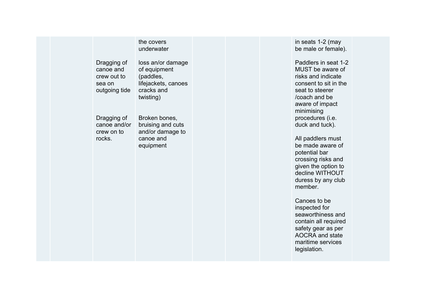#### the covers underwater

Dragging of canoe and crew out to sea on outgoing tide loss an/or damage of equipment (paddles, lifejackets, canoes cracks and twisting)

Dragging of canoe and/or crew on to rocks.

Broken bones, bruising and cuts and/or damage to canoe and equipment

in seats 1-2 (may be male or female).

Paddlers in seat 1-2 MUST be aware of risks and indicate consent to sit in the seat to steerer /coach and be aware of impact minimising procedures (i.e. duck and tuck).

All paddlers must be made aware of potential bar crossing risks and given the option to decline WITHOUT duress by any club member.

Canoes to be inspected for seaworthiness and contain all required safety gear as per AOCRA and state maritime services legislation.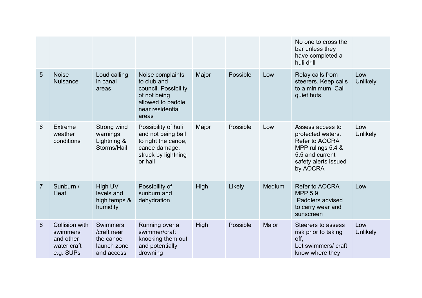|                |                                                                     |                                                                          |                                                                                                                           |             |          |               | No one to cross the<br>bar unless they<br>have completed a<br>huli drill                                                                   |                        |
|----------------|---------------------------------------------------------------------|--------------------------------------------------------------------------|---------------------------------------------------------------------------------------------------------------------------|-------------|----------|---------------|--------------------------------------------------------------------------------------------------------------------------------------------|------------------------|
| 5              | <b>Noise</b><br><b>Nuisance</b>                                     | Loud calling<br>in canal<br>areas                                        | Noise complaints<br>to club and<br>council. Possibility<br>of not being<br>allowed to paddle<br>near residential<br>areas | Major       | Possible | Low           | Relay calls from<br>steerers. Keep calls<br>to a minimum. Call<br>quiet huts.                                                              | Low<br><b>Unlikely</b> |
| 6              | <b>Extreme</b><br>weather<br>conditions                             | Strong wind<br>warnings<br>Lightning &<br>Storms/Hail                    | Possibility of huli<br>and not being bail<br>to right the canoe,<br>canoe damage,<br>struck by lightning<br>or hail       | Major       | Possible | Low           | Assess access to<br>protected waters.<br><b>Refer to AOCRA</b><br>MPP rulings 5.4 &<br>5.5 and current<br>safety alerts issued<br>by AOCRA | Low<br><b>Unlikely</b> |
| $\overline{7}$ | Sunburn /<br>Heat                                                   | High UV<br>levels and<br>high temps &<br>humidity                        | Possibility of<br>sunburn and<br>dehydration                                                                              | High        | Likely   | <b>Medium</b> | Refer to AOCRA<br><b>MPP 5.9</b><br>Paddlers advised<br>to carry wear and<br>sunscreen                                                     | Low                    |
| 8              | Collision with<br>swimmers<br>and other<br>water craft<br>e.g. SUPs | <b>Swimmers</b><br>/craft near<br>the canoe<br>launch zone<br>and access | Running over a<br>swimmer/craft<br>knocking them out<br>and potentially<br>drowning                                       | <b>High</b> | Possible | Major         | Steerers to assess<br>risk prior to taking<br>off,<br>Let swimmers/craft<br>know where they                                                | Low<br><b>Unlikely</b> |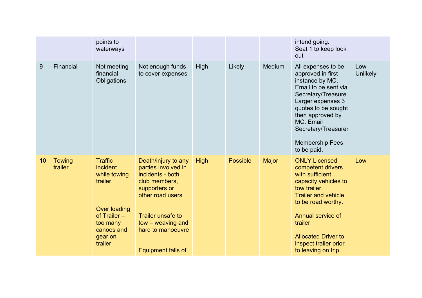|    |                          | points to<br>waterways                                                                                                                          |                                                                                                                                                                                                                         |             |                 |              | intend going.<br>Seat 1 to keep look<br>out                                                                                                                                                                                                                            |                        |
|----|--------------------------|-------------------------------------------------------------------------------------------------------------------------------------------------|-------------------------------------------------------------------------------------------------------------------------------------------------------------------------------------------------------------------------|-------------|-----------------|--------------|------------------------------------------------------------------------------------------------------------------------------------------------------------------------------------------------------------------------------------------------------------------------|------------------------|
| 9  | Financial                | Not meeting<br>financial<br>Obligations                                                                                                         | Not enough funds<br>to cover expenses                                                                                                                                                                                   | <b>High</b> | Likely          | Medium       | All expenses to be<br>approved in first<br>instance by MC.<br>Email to be sent via<br>Secretary/Treasure.<br>Larger expenses 3<br>quotes to be sought<br>then approved by<br>MC. Email<br>Secretary/Treasurer<br><b>Membership Fees</b><br>to be paid.                 | Low<br><b>Unlikely</b> |
| 10 | <b>Towing</b><br>trailer | <b>Traffic</b><br>incident<br>while towing<br>trailer.<br><b>Over loading</b><br>of $Trailer -$<br>too many<br>canoes and<br>gear on<br>trailer | Death/injury to any<br>parties involved in<br>incidents - both<br>club members,<br>supporters or<br>other road users<br><b>Trailer unsafe to</b><br>tow - weaving and<br>hard to manoeuvre<br><b>Equipment falls of</b> | <b>High</b> | <b>Possible</b> | <b>Major</b> | <b>ONLY Licensed</b><br>competent drivers<br>with sufficient<br>capacity vehicles to<br>tow trailer.<br><b>Trailer and vehicle</b><br>to be road worthy.<br>Annual service of<br>trailer<br><b>Allocated Driver to</b><br>inspect trailer prior<br>to leaving on trip. | Low                    |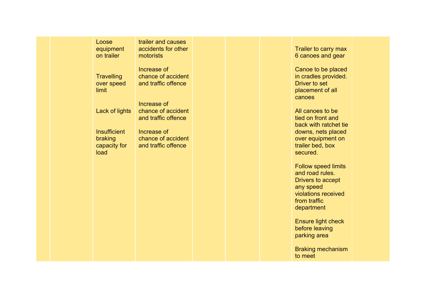#### Loose equipment on trailer

**Travelling** over speed limit

Lack of lights

**Insufficient** braking capacity for load

trailer and causes accidents for other motorists

Increase of chance of accident and traffic offence

Increase of chance of accident and traffic offence

Increase of chance of accident and traffic offence

Trailer to carry max 6 canoes and gear

Canoe to be placed in cradles provided. Driver to set placement of all canoes

All canoes to be tied on front and back with ratchet tie downs, nets placed over equipment on trailer bed, box secured.

Follow speed limits and road rules. Drivers to accept any speed violations received from traffic department

Ensure light check before leaving parking area

Braking mechanism to meet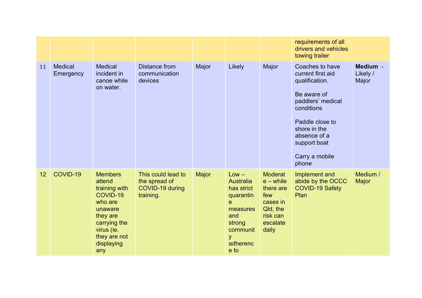|    |                             |                                                                                                                                                            |                                                                     |              |                                                                                                                               |                                                                                                            | requirements of all<br>drivers and vehicles<br>towing trailer                                                                                                                                          |                               |
|----|-----------------------------|------------------------------------------------------------------------------------------------------------------------------------------------------------|---------------------------------------------------------------------|--------------|-------------------------------------------------------------------------------------------------------------------------------|------------------------------------------------------------------------------------------------------------|--------------------------------------------------------------------------------------------------------------------------------------------------------------------------------------------------------|-------------------------------|
| 11 | <b>Medical</b><br>Emergency | <b>Medical</b><br>incident in<br>canoe while<br>on water.                                                                                                  | Distance from<br>communication<br>devices                           | Major        | Likely                                                                                                                        | Major                                                                                                      | Coaches to have<br>current first aid<br>qualification.<br>Be aware of<br>paddlers' medical<br>conditions<br>Paddle close to<br>shore in the<br>absence of a<br>support boat<br>Carry a mobile<br>phone | Medium -<br>Likely /<br>Major |
| 12 | COVID-19                    | <b>Members</b><br>attend<br>training with<br>COVID-19<br>who are<br>unaware<br>they are<br>carrying the<br>virus (ie.<br>they are not<br>displaying<br>any | This could lead to<br>the spread of<br>COVID-19 during<br>training. | <b>Major</b> | $Low -$<br><b>Australia</b><br>has strict<br>quarantin<br>e<br>measures<br>and<br>strong<br>communit<br>y<br>adherenc<br>e to | <b>Moderat</b><br>$e$ – while<br>there are<br>few<br>cases in<br>Qld, the<br>risk can<br>escalate<br>daily | Implement and<br>abide by the OCCC<br>COVID-19 Safety<br>Plan                                                                                                                                          | Medium /<br><b>Major</b>      |